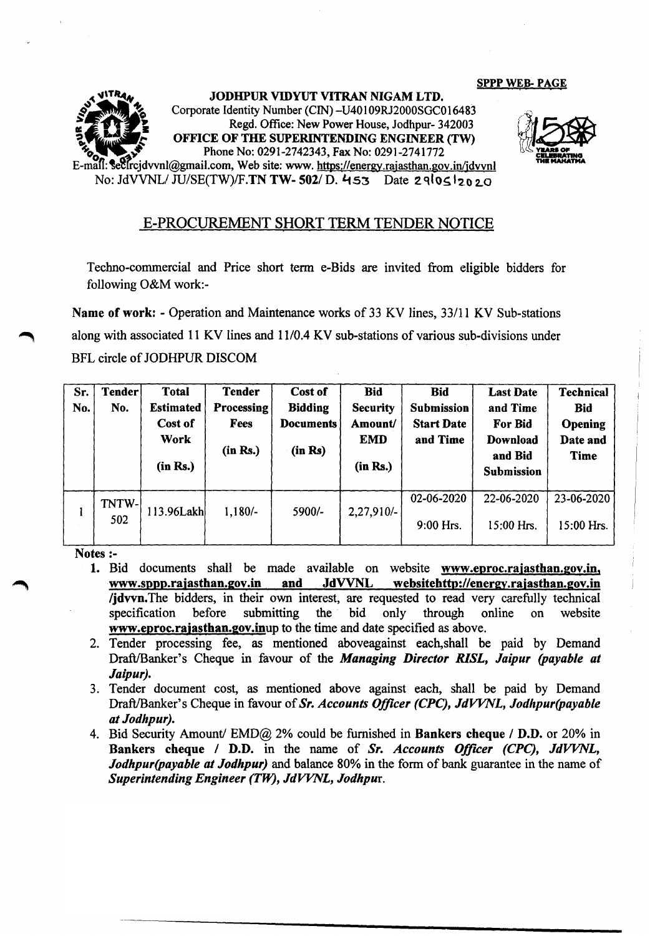## sppp WEB- PAGE





## E-PROCUREMENT SHORT TERM TENDER NOTICE

Techno-commercial and Price short term e-Bids are invited from eligible bidders for following O&M work:-

Name of work: - Operation and Maintenance works of 33 KV lines, *33/11* KV Sub-stations along with associated 11 KV lines and 11/0.4 KV sub-stations of various sub-divisions under BFL circle of JODHPUR DISCOM

| Sr.<br>No. | Tender<br>No. | <b>Total</b><br><b>Estimated</b><br>Cost of<br>Work<br>(in Rs.) | <b>Tender</b><br>Processing<br><b>Fees</b><br>(in Rs.) | Cost of<br><b>Bidding</b><br><b>Documents</b><br>(in Rs) | <b>Bid</b><br><b>Security</b><br>Amount/<br><b>EMD</b><br>(in Rs.) | <b>Bid</b><br>Submission<br><b>Start Date</b><br>and Time | <b>Last Date</b><br>and Time<br>For Bid<br>Download<br>and Bid<br>Submission | <b>Technical</b><br><b>Bid</b><br>Opening<br>Date and<br><b>Time</b> |
|------------|---------------|-----------------------------------------------------------------|--------------------------------------------------------|----------------------------------------------------------|--------------------------------------------------------------------|-----------------------------------------------------------|------------------------------------------------------------------------------|----------------------------------------------------------------------|
|            | TNTW-<br>502  | 113.96Lakh                                                      | $1,180/-$                                              | 5900/-                                                   | 2,27,910/-                                                         | 02-06-2020<br>9:00 Hrs.                                   | 22-06-2020<br>15:00 Hrs.                                                     | 23-06-2020<br>15:00 Hrs.                                             |

Notes :-

- 1. Bid documents shall be made available on website [www.eproc.rajasthan.gov.in,](http://www.eproc.rajasthan.gov.in,) [www.sppp.rajasthan.gov.in](http://www.sppp.rajasthan.gov.in) and JdVVNL [websitehttp://energy.rajasthan.gov.in](http://websitehttp://energy.rajasthan.gov.in) Ijdvvn.The bidders, in their own interest, are requested to read very carefully technical specification before submitting the bid only through online on website www.eproc.rajasthan.gov.inup to the time and date specified as above.
- 2. Tender processing fee, as mentioned aboveagainst each,shall be paid by Demand Draft/Banker's Cheque in favour of the *Managing Director RISL*, Jaipur (payable at *Jaipur).*
- 3. Tender document cost, as mentioned above against each, shall be paid by Demand DraftlBanker's Cheque in favour of *Sr. Accounts Officer (CPC), JdVVNL, Jodhpur(payab/e at Jodhpur).*
- 4. Bid Security Amount/ EMD@ 2% could be furnished in Bankers cheque / D.D. or 20% in Bankers cheque / D.D. in the name of *Sr. Accounts OffICer (CPC), JdVVNL, Jodhpur(payable at Jodhpur)* and balance 80% in the form of bank guarantee in the name of *Superintending Engineer (TW), JdVVNL, Jodhpur.*